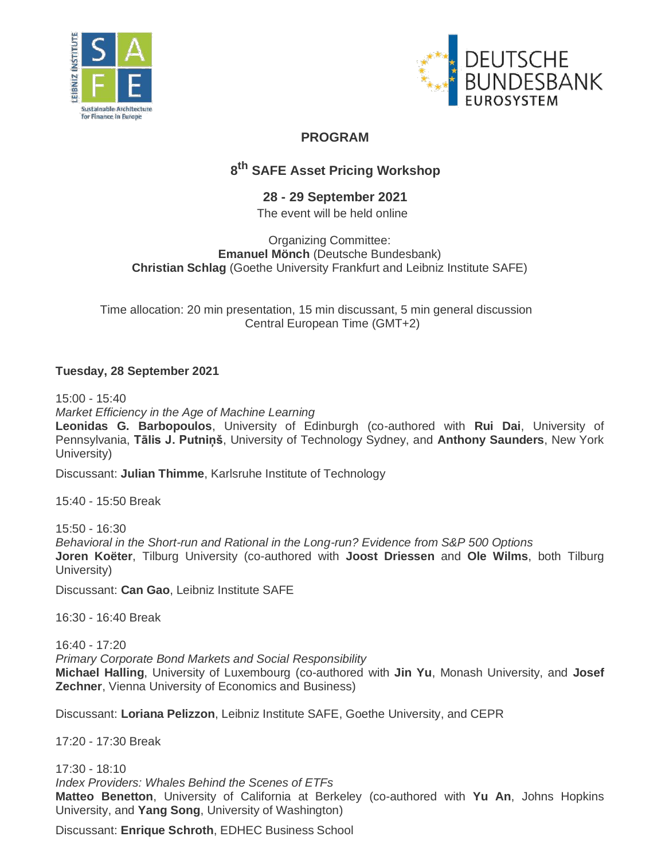



## **PROGRAM**

# **8 th SAFE Asset Pricing Workshop**

## **28 - 29 September 2021**

The event will be held online

#### Organizing Committee: **Emanuel Mönch** (Deutsche Bundesbank) **Christian Schlag** (Goethe University Frankfurt and Leibniz Institute SAFE)

Time allocation: 20 min presentation, 15 min discussant, 5 min general discussion Central European Time (GMT+2)

## **Tuesday, 28 September 2021**

15:00 - 15:40 *Market Efficiency in the Age of Machine Learning* **Leonidas G. Barbopoulos**, University of Edinburgh (co-authored with **Rui Dai**, University of Pennsylvania, **Tālis J. Putniņš**, University of Technology Sydney, and **Anthony Saunders**, New York University)

Discussant: **Julian Thimme**, Karlsruhe Institute of Technology

15:40 - 15:50 Break

15:50 - 16:30 *Behavioral in the Short-run and Rational in the Long-run? Evidence from S&P 500 Options* **Joren Koëter**, Tilburg University (co-authored with **Joost Driessen** and **Ole Wilms**, both Tilburg University)

Discussant: **Can Gao**, Leibniz Institute SAFE

16:30 - 16:40 Break

16:40 - 17:20 *Primary Corporate Bond Markets and Social Responsibility* **Michael Halling**, University of Luxembourg (co-authored with **Jin Yu**, Monash University, and **Josef Zechner**, Vienna University of Economics and Business)

Discussant: **Loriana Pelizzon**, Leibniz Institute SAFE, Goethe University, and CEPR

17:20 - 17:30 Break

17:30 - 18:10 *Index Providers: Whales Behind the Scenes of ETFs*  **Matteo Benetton**, University of California at Berkeley (co-authored with **Yu An**, Johns Hopkins University, and **Yang Song**, University of Washington)

Discussant: **Enrique Schroth**, EDHEC Business School